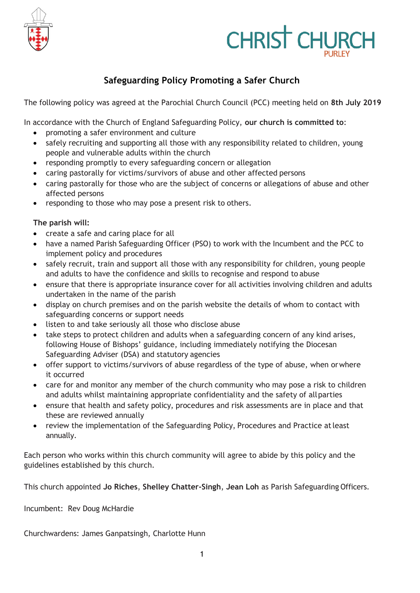

# **CHRIST CHURCH**

## **Safeguarding Policy Promoting a Safer Church**

The following policy was agreed at the Parochial Church Council (PCC) meeting held on **8th July 2019**

In accordance with the Church of England Safeguarding Policy, **our church is committed to**:

- promoting a safer environment and culture
- safely recruiting and supporting all those with any responsibility related to children, young people and vulnerable adults within the church
- responding promptly to every safeguarding concern or allegation
- caring pastorally for victims/survivors of abuse and other affected persons
- caring pastorally for those who are the subject of concerns or allegations of abuse and other affected persons
- responding to those who may pose a present risk to others.

#### **The parish will:**

- create a safe and caring place for all
- have a named Parish Safeguarding Officer (PSO) to work with the Incumbent and the PCC to implement policy and procedures
- safely recruit, train and support all those with any responsibility for children, young people and adults to have the confidence and skills to recognise and respond to abuse
- ensure that there is appropriate insurance cover for all activities involving children and adults undertaken in the name of the parish
- display on church premises and on the parish website the details of whom to contact with safeguarding concerns or support needs
- listen to and take seriously all those who disclose abuse
- take steps to protect children and adults when a safeguarding concern of any kind arises, following House of Bishops' guidance, including immediately notifying the Diocesan Safeguarding Adviser (DSA) and statutory agencies
- offer support to victims/survivors of abuse regardless of the type of abuse, when orwhere it occurred
- care for and monitor any member of the church community who may pose a risk to children and adults whilst maintaining appropriate confidentiality and the safety of allparties
- ensure that health and safety policy, procedures and risk assessments are in place and that these are reviewed annually
- review the implementation of the Safeguarding Policy, Procedures and Practice atleast annually.

Each person who works within this church community will agree to abide by this policy and the guidelines established by this church.

This church appointed **Jo Riches**, **Shelley Chatter-Singh**, **Jean Loh** as Parish Safeguarding Officers.

Incumbent: Rev Doug McHardie

Churchwardens: James Ganpatsingh, Charlotte Hunn